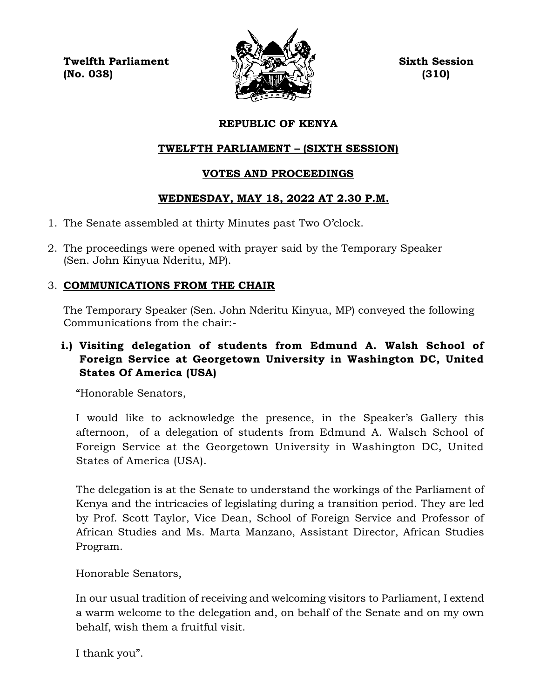**Twelfth Parliament Sixth Session**  $\langle \mathcal{L} \rangle$  (No. 038) (310)



# **REPUBLIC OF KENYA**

# **TWELFTH PARLIAMENT – (SIXTH SESSION)**

# **VOTES AND PROCEEDINGS**

# **WEDNESDAY, MAY 18, 2022 AT 2.30 P.M.**

- 1. The Senate assembled at thirty Minutes past Two O'clock.
- 2. The proceedings were opened with prayer said by the Temporary Speaker (Sen. John Kinyua Nderitu, MP).

# 3. **COMMUNICATIONS FROM THE CHAIR**

The Temporary Speaker (Sen. John Nderitu Kinyua, MP) conveyed the following Communications from the chair:-

# **i.) Visiting delegation of students from Edmund A. Walsh School of Foreign Service at Georgetown University in Washington DC, United States Of America (USA)**

"Honorable Senators,

I would like to acknowledge the presence, in the Speaker's Gallery this afternoon, of a delegation of students from Edmund A. Walsch School of Foreign Service at the Georgetown University in Washington DC, United States of America (USA).

The delegation is at the Senate to understand the workings of the Parliament of Kenya and the intricacies of legislating during a transition period. They are led by Prof. Scott Taylor, Vice Dean, School of Foreign Service and Professor of African Studies and Ms. Marta Manzano, Assistant Director, African Studies Program.

Honorable Senators,

In our usual tradition of receiving and welcoming visitors to Parliament, I extend a warm welcome to the delegation and, on behalf of the Senate and on my own behalf, wish them a fruitful visit.

I thank you".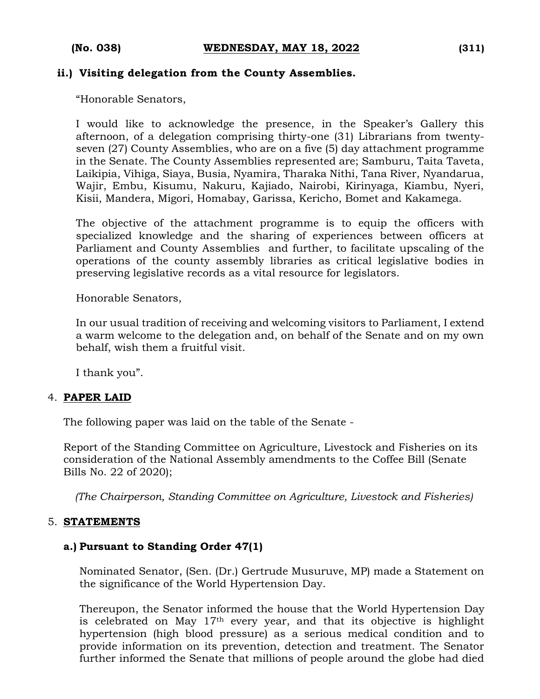## **ii.) Visiting delegation from the County Assemblies.**

"Honorable Senators,

I would like to acknowledge the presence, in the Speaker's Gallery this afternoon, of a delegation comprising thirty-one (31) Librarians from twentyseven (27) County Assemblies, who are on a five (5) day attachment programme in the Senate. The County Assemblies represented are; Samburu, Taita Taveta, Laikipia, Vihiga, Siaya, Busia, Nyamira, Tharaka Nithi, Tana River, Nyandarua, Wajir, Embu, Kisumu, Nakuru, Kajiado, Nairobi, Kirinyaga, Kiambu, Nyeri, Kisii, Mandera, Migori, Homabay, Garissa, Kericho, Bomet and Kakamega.

The objective of the attachment programme is to equip the officers with specialized knowledge and the sharing of experiences between officers at Parliament and County Assemblies and further, to facilitate upscaling of the operations of the county assembly libraries as critical legislative bodies in preserving legislative records as a vital resource for legislators.

Honorable Senators,

In our usual tradition of receiving and welcoming visitors to Parliament, I extend a warm welcome to the delegation and, on behalf of the Senate and on my own behalf, wish them a fruitful visit.

I thank you".

#### 4. **PAPER LAID**

The following paper was laid on the table of the Senate -

Report of the Standing Committee on Agriculture, Livestock and Fisheries on its consideration of the National Assembly amendments to the Coffee Bill (Senate Bills No. 22 of 2020);

*(The Chairperson, Standing Committee on Agriculture, Livestock and Fisheries)*

#### 5. **STATEMENTS**

## **a.) Pursuant to Standing Order 47(1)**

Nominated Senator, (Sen. (Dr.) Gertrude Musuruve, MP) made a Statement on the significance of the World Hypertension Day.

Thereupon, the Senator informed the house that the World Hypertension Day is celebrated on May 17th every year, and that its objective is highlight hypertension (high blood pressure) as a serious medical condition and to provide information on its prevention, detection and treatment. The Senator further informed the Senate that millions of people around the globe had died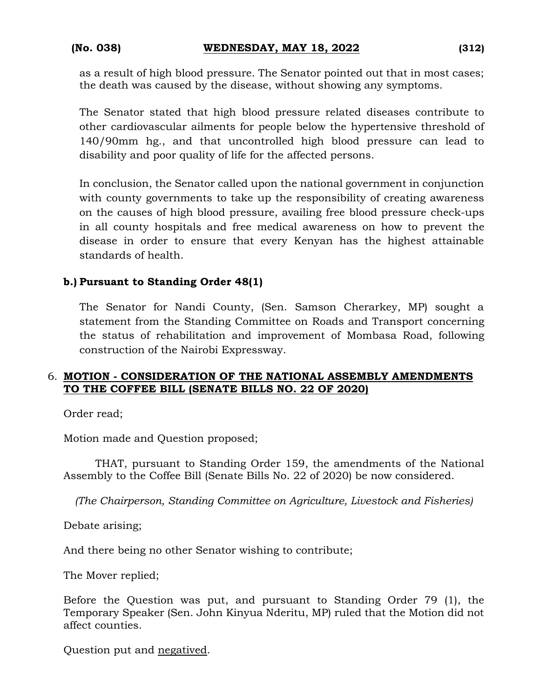as a result of high blood pressure. The Senator pointed out that in most cases; the death was caused by the disease, without showing any symptoms.

The Senator stated that high blood pressure related diseases contribute to other cardiovascular ailments for people below the hypertensive threshold of 140/90mm hg., and that uncontrolled high blood pressure can lead to disability and poor quality of life for the affected persons.

In conclusion, the Senator called upon the national government in conjunction with county governments to take up the responsibility of creating awareness on the causes of high blood pressure, availing free blood pressure check-ups in all county hospitals and free medical awareness on how to prevent the disease in order to ensure that every Kenyan has the highest attainable standards of health.

# **b.) Pursuant to Standing Order 48(1)**

The Senator for Nandi County, (Sen. Samson Cherarkey, MP) sought a statement from the Standing Committee on Roads and Transport concerning the status of rehabilitation and improvement of Mombasa Road, following construction of the Nairobi Expressway.

## 6. **MOTION - CONSIDERATION OF THE NATIONAL ASSEMBLY AMENDMENTS TO THE COFFEE BILL (SENATE BILLS NO. 22 OF 2020)**

Order read;

Motion made and Question proposed;

THAT, pursuant to Standing Order 159, the amendments of the National Assembly to the Coffee Bill (Senate Bills No. 22 of 2020) be now considered.

*(The Chairperson, Standing Committee on Agriculture, Livestock and Fisheries)*

Debate arising;

And there being no other Senator wishing to contribute;

The Mover replied;

Before the Question was put, and pursuant to Standing Order 79 (1), the Temporary Speaker (Sen. John Kinyua Nderitu, MP) ruled that the Motion did not affect counties.

Question put and negatived.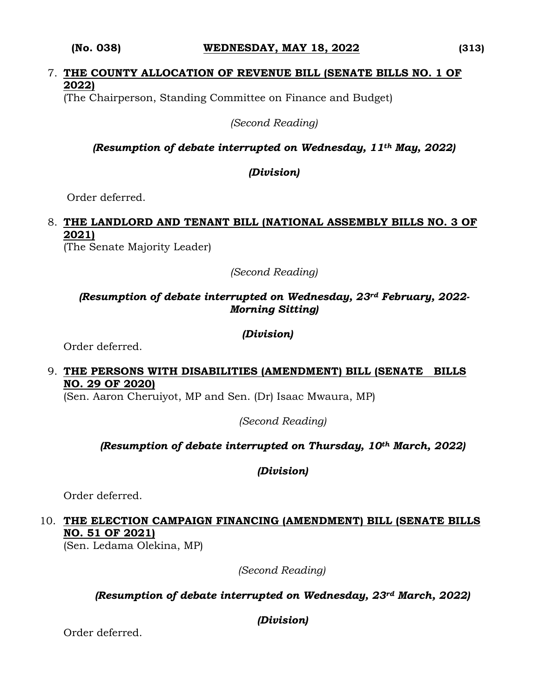#### **(No. 038) WEDNESDAY, MAY 18, 2022 (313)**

# 7. **THE COUNTY ALLOCATION OF REVENUE BILL (SENATE BILLS NO. 1 OF 2022)**

(The Chairperson, Standing Committee on Finance and Budget)

*(Second Reading)*

# *(Resumption of debate interrupted on Wednesday, 11th May, 2022)*

*(Division)*

Order deferred.

# 8. **THE LANDLORD AND TENANT BILL (NATIONAL ASSEMBLY BILLS NO. 3 OF 2021)**

(The Senate Majority Leader)

*(Second Reading)*

# *(Resumption of debate interrupted on Wednesday, 23rd February, 2022- Morning Sitting)*

## *(Division)*

Order deferred.

## 9. **THE PERSONS WITH DISABILITIES (AMENDMENT) BILL (SENATE BILLS NO. 29 OF 2020)**

(Sen. Aaron Cheruiyot, MP and Sen. (Dr) Isaac Mwaura, MP)

*(Second Reading)*

# *(Resumption of debate interrupted on Thursday, 10th March, 2022)*

*(Division)*

Order deferred.

# 10. **THE ELECTION CAMPAIGN FINANCING (AMENDMENT) BILL (SENATE BILLS NO. 51 OF 2021)**

(Sen. Ledama Olekina, MP)

*(Second Reading)*

*(Resumption of debate interrupted on Wednesday, 23rd March, 2022)*

*(Division)*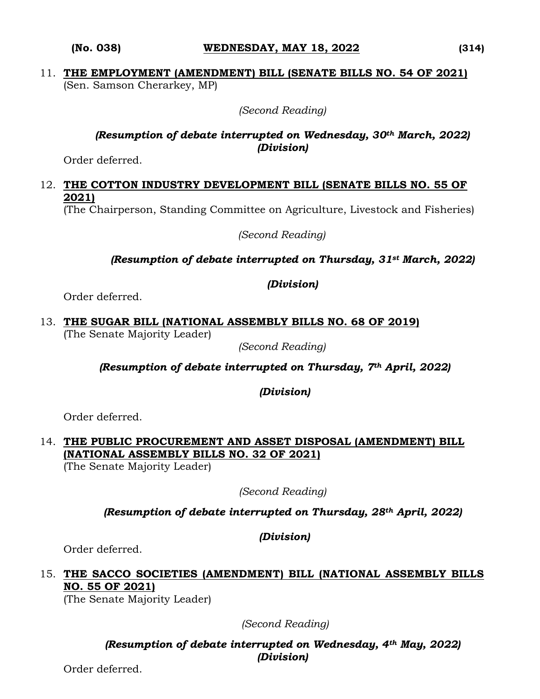#### **(No. 038) WEDNESDAY, MAY 18, 2022 (314)**

## 11. **THE EMPLOYMENT (AMENDMENT) BILL (SENATE BILLS NO. 54 OF 2021)** (Sen. Samson Cherarkey, MP)

*(Second Reading)*

## *(Resumption of debate interrupted on Wednesday, 30th March, 2022) (Division)*

Order deferred.

# 12. **THE COTTON INDUSTRY DEVELOPMENT BILL (SENATE BILLS NO. 55 OF 2021)**

(The Chairperson, Standing Committee on Agriculture, Livestock and Fisheries)

*(Second Reading)*

## *(Resumption of debate interrupted on Thursday, 31st March, 2022)*

#### *(Division)*

Order deferred.

13. **THE SUGAR BILL (NATIONAL ASSEMBLY BILLS NO. 68 OF 2019)** (The Senate Majority Leader)

*(Second Reading)*

*(Resumption of debate interrupted on Thursday, 7th April, 2022)*

*(Division)*

Order deferred.

# 14. **THE PUBLIC PROCUREMENT AND ASSET DISPOSAL (AMENDMENT) BILL (NATIONAL ASSEMBLY BILLS NO. 32 OF 2021)**

(The Senate Majority Leader)

*(Second Reading)*

*(Resumption of debate interrupted on Thursday, 28th April, 2022)* 

*(Division)*

Order deferred.

# 15. **THE SACCO SOCIETIES (AMENDMENT) BILL (NATIONAL ASSEMBLY BILLS NO. 55 OF 2021)**

(The Senate Majority Leader)

 *(Second Reading)*

*(Resumption of debate interrupted on Wednesday, 4th May, 2022) (Division)*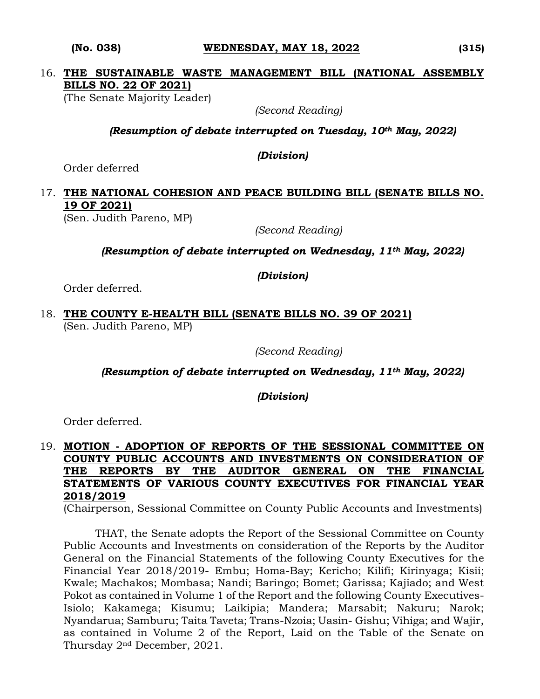#### **(No. 038) WEDNESDAY, MAY 18, 2022 (315)**

# 16. **THE SUSTAINABLE WASTE MANAGEMENT BILL (NATIONAL ASSEMBLY BILLS NO. 22 OF 2021)**

(The Senate Majority Leader)

*(Second Reading)*

*(Resumption of debate interrupted on Tuesday, 10th May, 2022)*

*(Division)*

Order deferred

# 17. **THE NATIONAL COHESION AND PEACE BUILDING BILL (SENATE BILLS NO. 19 OF 2021)**

(Sen. Judith Pareno, MP)

*(Second Reading)*

*(Resumption of debate interrupted on Wednesday, 11th May, 2022)*

*(Division)*

Order deferred.

18. **THE COUNTY E-HEALTH BILL (SENATE BILLS NO. 39 OF 2021)**  (Sen. Judith Pareno, MP)

*(Second Reading)*

*(Resumption of debate interrupted on Wednesday, 11th May, 2022)*

*(Division)*

Order deferred.

# 19. **MOTION - ADOPTION OF REPORTS OF THE SESSIONAL COMMITTEE ON COUNTY PUBLIC ACCOUNTS AND INVESTMENTS ON CONSIDERATION OF THE REPORTS BY THE AUDITOR GENERAL ON THE FINANCIAL STATEMENTS OF VARIOUS COUNTY EXECUTIVES FOR FINANCIAL YEAR 2018/2019**

(Chairperson, Sessional Committee on County Public Accounts and Investments)

THAT, the Senate adopts the Report of the Sessional Committee on County Public Accounts and Investments on consideration of the Reports by the Auditor General on the Financial Statements of the following County Executives for the Financial Year 2018/2019- Embu; Homa-Bay; Kericho; Kilifi; Kirinyaga; Kisii; Kwale; Machakos; Mombasa; Nandi; Baringo; Bomet; Garissa; Kajiado; and West Pokot as contained in Volume 1 of the Report and the following County Executives-Isiolo; Kakamega; Kisumu; Laikipia; Mandera; Marsabit; Nakuru; Narok; Nyandarua; Samburu; Taita Taveta; Trans-Nzoia; Uasin- Gishu; Vihiga; and Wajir, as contained in Volume 2 of the Report, Laid on the Table of the Senate on Thursday 2nd December, 2021.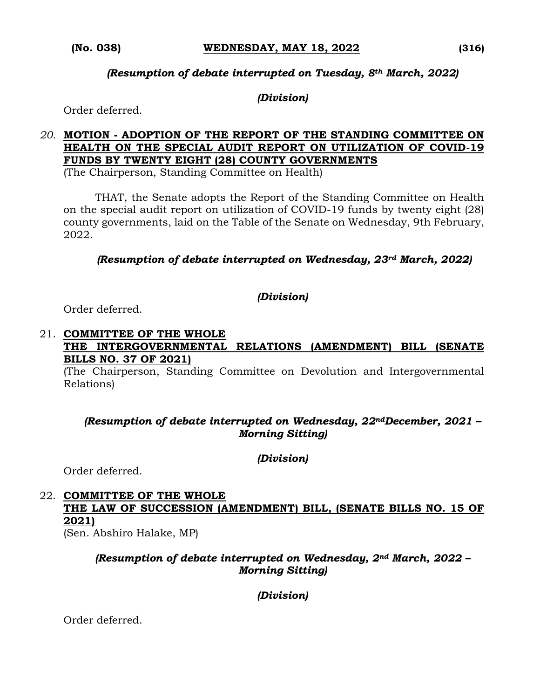#### *(Resumption of debate interrupted on Tuesday, 8th March, 2022)*

#### *(Division)*

Order deferred.

# *20.* **MOTION - ADOPTION OF THE REPORT OF THE STANDING COMMITTEE ON HEALTH ON THE SPECIAL AUDIT REPORT ON UTILIZATION OF COVID-19 FUNDS BY TWENTY EIGHT (28) COUNTY GOVERNMENTS**

(The Chairperson, Standing Committee on Health)

THAT, the Senate adopts the Report of the Standing Committee on Health on the special audit report on utilization of COVID-19 funds by twenty eight (28) county governments, laid on the Table of the Senate on Wednesday, 9th February, 2022.

*(Resumption of debate interrupted on Wednesday, 23rd March, 2022)*

#### *(Division)*

Order deferred.

# 21. **COMMITTEE OF THE WHOLE**

#### **THE INTERGOVERNMENTAL RELATIONS (AMENDMENT) BILL (SENATE BILLS NO. 37 OF 2021)**

(The Chairperson, Standing Committee on Devolution and Intergovernmental Relations)

## *(Resumption of debate interrupted on Wednesday, 22ndDecember, 2021 – Morning Sitting)*

*(Division)*

Order deferred.

# 22. **COMMITTEE OF THE WHOLE THE LAW OF SUCCESSION (AMENDMENT) BILL, (SENATE BILLS NO. 15 OF 2021)**

(Sen. Abshiro Halake, MP)

## *(Resumption of debate interrupted on Wednesday, 2nd March, 2022 – Morning Sitting)*

*(Division)*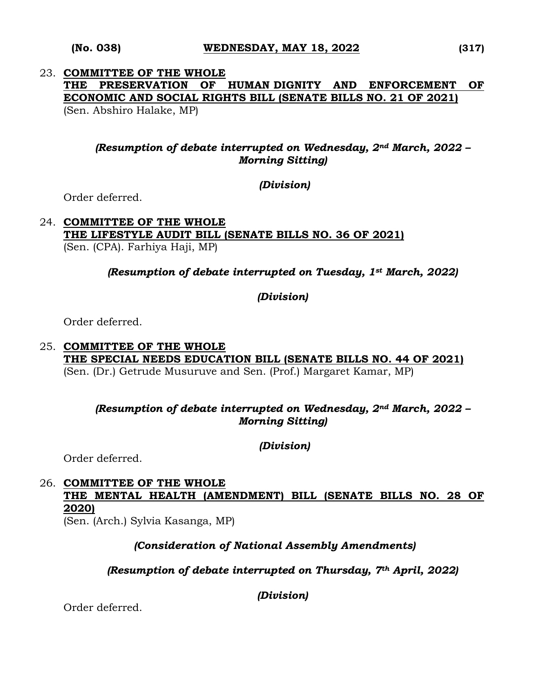### 23. **COMMITTEE OF THE WHOLE THE PRESERVATION OF HUMAN DIGNITY AND ENFORCEMENT OF ECONOMIC AND SOCIAL RIGHTS BILL (SENATE BILLS NO. 21 OF 2021)**  (Sen. Abshiro Halake, MP)

## *(Resumption of debate interrupted on Wednesday, 2nd March, 2022 – Morning Sitting)*

*(Division)*

Order deferred.

#### 24. **COMMITTEE OF THE WHOLE THE LIFESTYLE AUDIT BILL (SENATE BILLS NO. 36 OF 2021)**  (Sen. (CPA). Farhiya Haji, MP)

*(Resumption of debate interrupted on Tuesday, 1st March, 2022)* 

*(Division)*

Order deferred.

### 25. **COMMITTEE OF THE WHOLE THE SPECIAL NEEDS EDUCATION BILL (SENATE BILLS NO. 44 OF 2021)**  (Sen. (Dr.) Getrude Musuruve and Sen. (Prof.) Margaret Kamar, MP)

## *(Resumption of debate interrupted on Wednesday, 2nd March, 2022 – Morning Sitting)*

*(Division)*

Order deferred.

# 26. **COMMITTEE OF THE WHOLE THE MENTAL HEALTH (AMENDMENT) BILL (SENATE BILLS NO. 28 OF 2020)**

(Sen. (Arch.) Sylvia Kasanga, MP)

## *(Consideration of National Assembly Amendments)*

## *(Resumption of debate interrupted on Thursday, 7th April, 2022)*

*(Division)*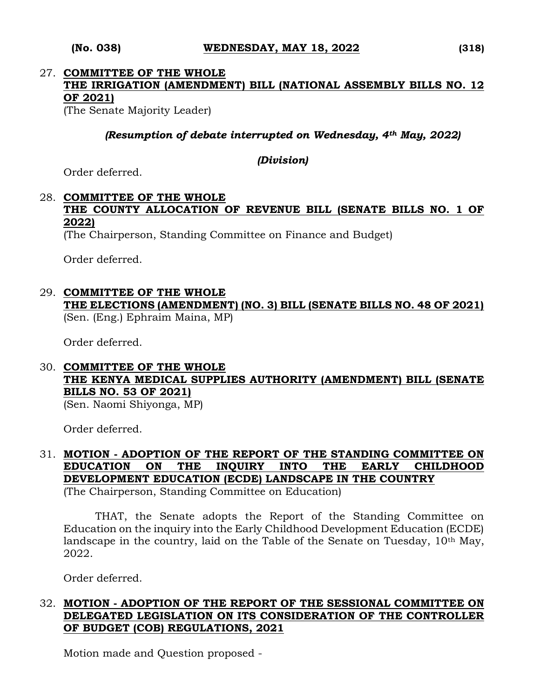# 27. **COMMITTEE OF THE WHOLE THE IRRIGATION (AMENDMENT) BILL (NATIONAL ASSEMBLY BILLS NO. 12 OF 2021)**

(The Senate Majority Leader)

*(Resumption of debate interrupted on Wednesday, 4th May, 2022)*

*(Division)*

Order deferred.

# 28. **COMMITTEE OF THE WHOLE THE COUNTY ALLOCATION OF REVENUE BILL (SENATE BILLS NO. 1 OF 2022)**

(The Chairperson, Standing Committee on Finance and Budget)

Order deferred.

29. **COMMITTEE OF THE WHOLE THE ELECTIONS (AMENDMENT) (NO. 3) BILL (SENATE BILLS NO. 48 OF 2021)** (Sen. (Eng.) Ephraim Maina, MP)

Order deferred.

# 30. **COMMITTEE OF THE WHOLE THE KENYA MEDICAL SUPPLIES AUTHORITY (AMENDMENT) BILL (SENATE BILLS NO. 53 OF 2021)**

(Sen. Naomi Shiyonga, MP)

Order deferred.

#### 31. **MOTION - ADOPTION OF THE REPORT OF THE STANDING COMMITTEE ON EDUCATION ON THE INQUIRY INTO THE EARLY CHILDHOOD DEVELOPMENT EDUCATION (ECDE) LANDSCAPE IN THE COUNTRY** (The Chairperson, Standing Committee on Education)

THAT, the Senate adopts the Report of the Standing Committee on Education on the inquiry into the Early Childhood Development Education (ECDE) landscape in the country, laid on the Table of the Senate on Tuesday,  $10<sup>th</sup>$  May, 2022.

Order deferred.

# 32. **MOTION - ADOPTION OF THE REPORT OF THE SESSIONAL COMMITTEE ON DELEGATED LEGISLATION ON ITS CONSIDERATION OF THE CONTROLLER OF BUDGET (COB) REGULATIONS, 2021**

Motion made and Question proposed -